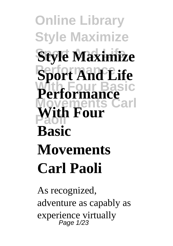**Online Library Style Maximize Style Maximize Sport And Life With Four Basic Movements Carl Paoli With Four Performance Basic Movements Carl Paoli**

As recognized, adventure as capably as experience virtually Page 1/23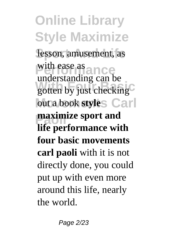**Online Library Style Maximize** lesson, amusement, as with ease as gotten by just checking<sup>C</sup> out a book **style**<sub>S</sub> Carl **maximize sport and** understanding can be **life performance with four basic movements carl paoli** with it is not directly done, you could put up with even more around this life, nearly the world.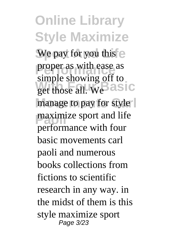**Online Library Style Maximize** We pay for you this e **proper as with ease as** get those all. We **asic** manage to pay for style **Paoline** sport and life simple showing off to performance with four basic movements carl paoli and numerous books collections from fictions to scientific research in any way. in the midst of them is this style maximize sport Page 3/23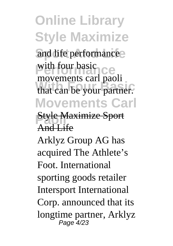## **Online Library Style Maximize** and life performance with four basic<br>movements carl paoli that can be your partner. **Movements Carl Style Maximize Sport** with four basic And Life

Arklyz Group AG has acquired The Athlete's Foot. International sporting goods retailer Intersport International Corp. announced that its longtime partner, Arklyz Page 4/23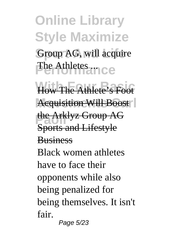## **Online Library Style Maximize** Group AG, will acquire The Athletes ...

How The Athlete's Foot **Acquisition Will Boost** the Arklyz Group AG Sports and Lifestyle **Business** Black women athletes have to face their opponents while also being penalized for being themselves. It isn't fair.

Page 5/23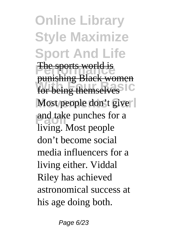**Online Library Style Maximize Sport And Life The sports world is Funding Basic** Women Most people don't give and take punches for a punishing Black women living. Most people don't become social media influencers for a living either. Viddal Riley has achieved astronomical success at his age doing both.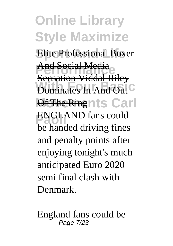**Online Library Style Maximize Elite Professional Boxer** <del>And Social Media</del><br><del>Sensation Viddal Riley</del> **Dominates In And Out Of The Ringnts Carl ENGLAND** fans could And Social Media be handed driving fines and penalty points after enjoying tonight's much anticipated Euro 2020 semi final clash with Denmark.

England fans could be Page 7/23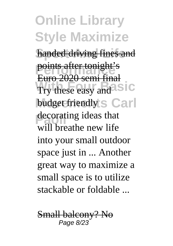**Online Library Style Maximize** handed driving fines and **Points after tonight's** Try these easy and **SIC** budget friendly S Carl decorating ideas that Euro 2020 semi final will breathe new life into your small outdoor space just in ... Another great way to maximize a small space is to utilize stackable or foldable ...

Small balcony? No Page 8/23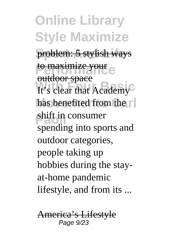**Online Library Style Maximize** problem: 5 stylish ways to maximize your It's clear that Academy has benefited from the  $\lceil \cdot \rceil$ shift in consumer outdoor space spending into sports and outdoor categories, people taking up hobbies during the stayat-home pandemic lifestyle, and from its ...

America's Lifestyle Page 9/23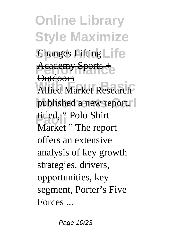**Online Library Style Maximize Changes Lifting Life Academy Sports + Allied Market Research** published a new report, titled, " Polo Shirt **Outdoors** Market " The report offers an extensive analysis of key growth strategies, drivers, opportunities, key segment, Porter's Five Forces ...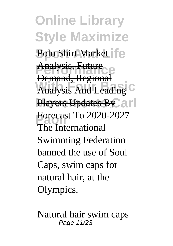**Online Library Style Maximize** Polo Shirt Market | **[**e Analysis, Future **Analysis And Leading** Players Updates By ar **Porecast 10 2020**<br>The International Demand, Regional Forecast To 2020-2027 Swimming Federation banned the use of Soul Caps, swim caps for natural hair, at the Olympics.

Natural hair swim caps Page 11/23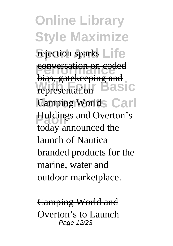**Online Library Style Maximize** rejection sparks Life **Performance**<br> **Principality EXERCISE AND REPRESENTATION** Camping Worlds Carl **Holdings and Overton's** bias, gatekeeping and today announced the launch of Nautica branded products for the marine, water and outdoor marketplace.

Camping World and Overton's to Launch Page 12/23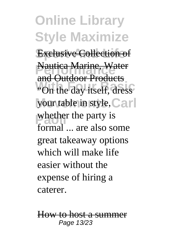**Online Library Style Maximize Exclusive Collection of Nautica Marine, Water** "On the day itself, dress" your table in style, Carl whether the party is and Outdoor Products formal ... are also some great takeaway options which will make life easier without the expense of hiring a caterer.

How to host a summer Page 13/23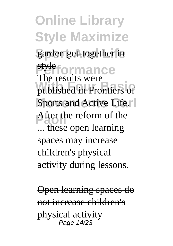**Online Library Style Maximize** garden get-together in **Primance**<br>The results were published in Frontiers of Sports and Active Life.<sup> $\vert$ </sup> After the reform of the style ... these open learning spaces may increase children's physical activity during lessons.

Open learning spaces do not increase children's physical activity Page 14/23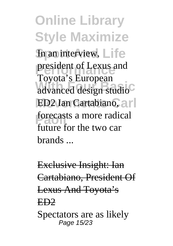**Online Library Style Maximize** In an interview, Life president of Lexus and<br> **Period** advanced design studio **ED2 Ian Cartabiano, arl** forecasts a more radical Toyota's European future for the two car brands ...

Exclusive Insight: Ian Cartabiano, President Of Lexus And Toyota's ED2 Spectators are as likely Page 15/23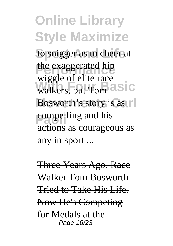**Online Library Style Maximize** to snigger as to cheer at the exaggerated hip walkers, but Tom **asic** Bosworth's story is as **Parameling** and his wiggle of elite race actions as courageous as any in sport ...

Three Years Ago, Race Walker Tom Bosworth Tried to Take His Life. Now He's Competing for Medals at the Page 16/23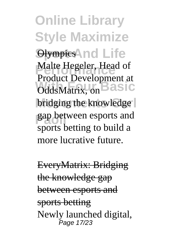**Online Library Style Maximize Sumpics And Life** Malte Hegeler, Head of **OddsMatrix, on asic** bridging the knowledge gap between esports and Product Development at sports betting to build a more lucrative future.

EveryMatrix: Bridging the knowledge gap between esports and sports betting Newly launched digital, Page 17/23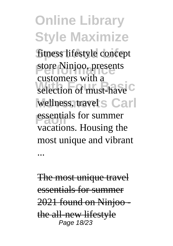**Online Library Style Maximize** fitness lifestyle concept store Ninjoo, presents selection of must-have<sup>C</sup> wellness, travel s Carl **Passentials for summer** customers with a vacations. Housing the most unique and vibrant ...

The most unique travel essentials for summer 2021 found on Ninjoo the all-new lifestyle Page 18/23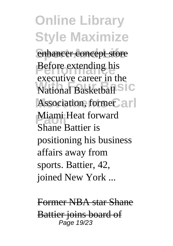**Online Library Style Maximize** enhancer concept store **Before extending his National Basketball** Association, former and **Miami Heat forward** executive career in the Shane Battier is positioning his business affairs away from sports. Battier, 42, joined New York ...

Former NBA star Shane Battier joins board of Page 19/23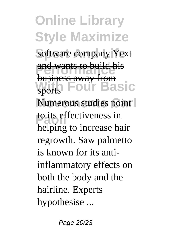**Online Library Style Maximize software company Yext** and wants to build his **With Four Basic** Numerous studies point to its effectiveness in business away from sports helping to increase hair regrowth. Saw palmetto is known for its antiinflammatory effects on both the body and the hairline. Experts hypothesise ...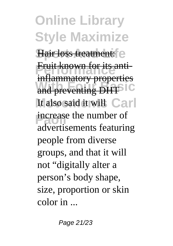**Online Library Style Maximize** Hair loss treatment: e **Fruit known for its anti-***With Freeponds* It also said it will Carl **Parameter** is a member of inflammatory properties advertisements featuring people from diverse groups, and that it will not "digitally alter a person's body shape, size, proportion or skin color in ...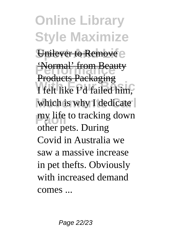**Online Library Style Maximize** Unilever to Remove e **'Normal' from Beauty** I felt like Pd failed him, which is why I dedicate my life to tracking down Products Packaging other pets. During Covid in Australia we saw a massive increase in pet thefts. Obviously with increased demand comes ...